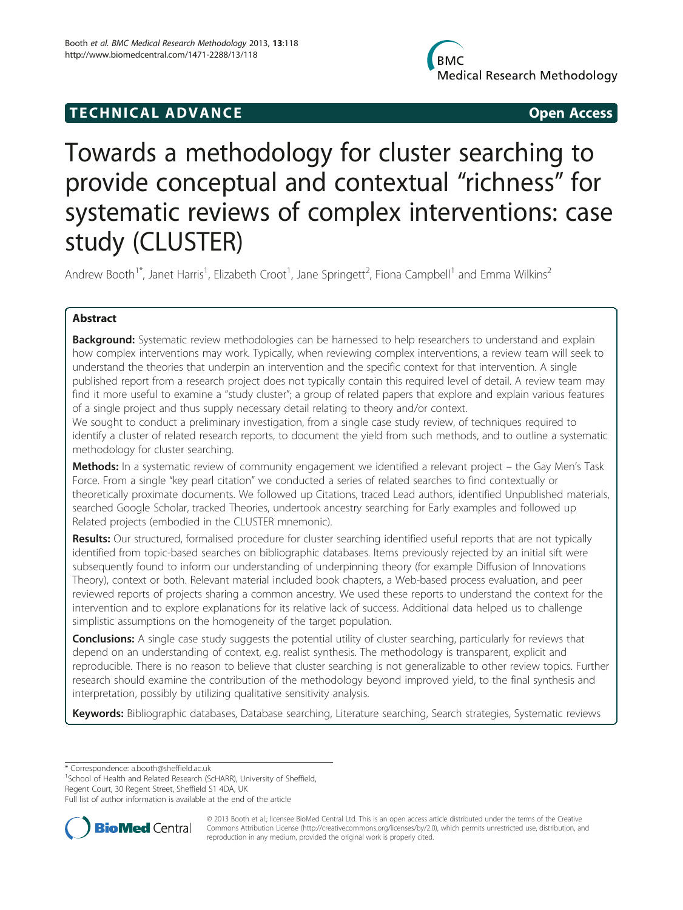# **TECHNICAL ADVANCE CONSUMING ACCESS**

# Towards a methodology for cluster searching to provide conceptual and contextual "richness" for systematic reviews of complex interventions: case study (CLUSTER)

Andrew Booth<sup>1\*</sup>, Janet Harris<sup>1</sup>, Elizabeth Croot<sup>1</sup>, Jane Springett<sup>2</sup>, Fiona Campbell<sup>1</sup> and Emma Wilkins<sup>2</sup>

# Abstract

**Background:** Systematic review methodologies can be harnessed to help researchers to understand and explain how complex interventions may work. Typically, when reviewing complex interventions, a review team will seek to understand the theories that underpin an intervention and the specific context for that intervention. A single published report from a research project does not typically contain this required level of detail. A review team may find it more useful to examine a "study cluster"; a group of related papers that explore and explain various features of a single project and thus supply necessary detail relating to theory and/or context.

We sought to conduct a preliminary investigation, from a single case study review, of techniques required to identify a cluster of related research reports, to document the yield from such methods, and to outline a systematic methodology for cluster searching.

Methods: In a systematic review of community engagement we identified a relevant project – the Gay Men's Task Force. From a single "key pearl citation" we conducted a series of related searches to find contextually or theoretically proximate documents. We followed up Citations, traced Lead authors, identified Unpublished materials, searched Google Scholar, tracked Theories, undertook ancestry searching for Early examples and followed up Related projects (embodied in the CLUSTER mnemonic).

Results: Our structured, formalised procedure for cluster searching identified useful reports that are not typically identified from topic-based searches on bibliographic databases. Items previously rejected by an initial sift were subsequently found to inform our understanding of underpinning theory (for example Diffusion of Innovations Theory), context or both. Relevant material included book chapters, a Web-based process evaluation, and peer reviewed reports of projects sharing a common ancestry. We used these reports to understand the context for the intervention and to explore explanations for its relative lack of success. Additional data helped us to challenge simplistic assumptions on the homogeneity of the target population.

Conclusions: A single case study suggests the potential utility of cluster searching, particularly for reviews that depend on an understanding of context, e.g. realist synthesis. The methodology is transparent, explicit and reproducible. There is no reason to believe that cluster searching is not generalizable to other review topics. Further research should examine the contribution of the methodology beyond improved yield, to the final synthesis and interpretation, possibly by utilizing qualitative sensitivity analysis.

Keywords: Bibliographic databases, Database searching, Literature searching, Search strategies, Systematic reviews

\* Correspondence: [a.booth@sheffield.ac.uk](mailto:a.booth@sheffield.ac.uk) <sup>1</sup>

<sup>1</sup>School of Health and Related Research (ScHARR), University of Sheffield,

Regent Court, 30 Regent Street, Sheffield S1 4DA, UK

Full list of author information is available at the end of the article



© 2013 Booth et al.; licensee BioMed Central Ltd. This is an open access article distributed under the terms of the Creative Commons Attribution License [\(http://creativecommons.org/licenses/by/2.0\)](http://creativecommons.org/licenses/by/2.0), which permits unrestricted use, distribution, and reproduction in any medium, provided the original work is properly cited.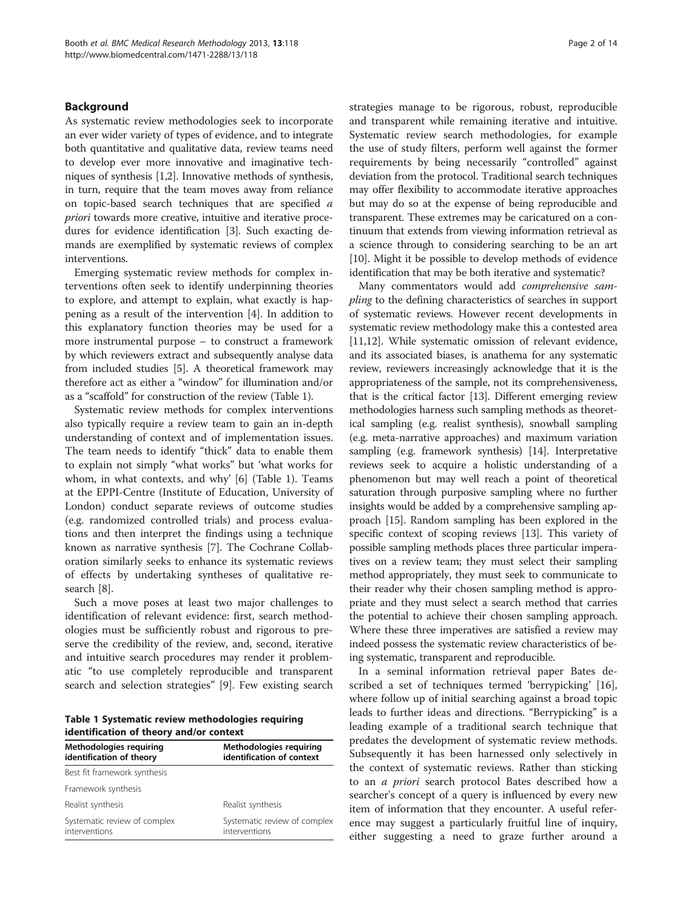#### Background

As systematic review methodologies seek to incorporate an ever wider variety of types of evidence, and to integrate both quantitative and qualitative data, review teams need to develop ever more innovative and imaginative techniques of synthesis [[1,2\]](#page-11-0). Innovative methods of synthesis, in turn, require that the team moves away from reliance on topic-based search techniques that are specified a priori towards more creative, intuitive and iterative procedures for evidence identification [\[3\]](#page-11-0). Such exacting demands are exemplified by systematic reviews of complex interventions.

Emerging systematic review methods for complex interventions often seek to identify underpinning theories to explore, and attempt to explain, what exactly is happening as a result of the intervention [\[4\]](#page-11-0). In addition to this explanatory function theories may be used for a more instrumental purpose – to construct a framework by which reviewers extract and subsequently analyse data from included studies [\[5](#page-11-0)]. A theoretical framework may therefore act as either a "window" for illumination and/or as a "scaffold" for construction of the review (Table 1).

Systematic review methods for complex interventions also typically require a review team to gain an in-depth understanding of context and of implementation issues. The team needs to identify "thick" data to enable them to explain not simply "what works" but 'what works for whom, in what contexts, and why' [\[6](#page-11-0)] (Table 1). Teams at the EPPI-Centre (Institute of Education, University of London) conduct separate reviews of outcome studies (e.g. randomized controlled trials) and process evaluations and then interpret the findings using a technique known as narrative synthesis [[7\]](#page-11-0). The Cochrane Collaboration similarly seeks to enhance its systematic reviews of effects by undertaking syntheses of qualitative research [[8\]](#page-11-0).

Such a move poses at least two major challenges to identification of relevant evidence: first, search methodologies must be sufficiently robust and rigorous to preserve the credibility of the review, and, second, iterative and intuitive search procedures may render it problematic "to use completely reproducible and transparent search and selection strategies" [[9](#page-11-0)]. Few existing search

Table 1 Systematic review methodologies requiring identification of theory and/or context

| Methodologies requiring<br>identification of theory | Methodologies requiring<br>identification of context |  |
|-----------------------------------------------------|------------------------------------------------------|--|
| Best fit framework synthesis                        |                                                      |  |
| Framework synthesis                                 |                                                      |  |
| Realist synthesis                                   | Realist synthesis                                    |  |
| Systematic review of complex<br>interventions       | Systematic review of complex<br>interventions        |  |

strategies manage to be rigorous, robust, reproducible and transparent while remaining iterative and intuitive. Systematic review search methodologies, for example the use of study filters, perform well against the former requirements by being necessarily "controlled" against deviation from the protocol. Traditional search techniques may offer flexibility to accommodate iterative approaches but may do so at the expense of being reproducible and transparent. These extremes may be caricatured on a continuum that extends from viewing information retrieval as a science through to considering searching to be an art [[10](#page-12-0)]. Might it be possible to develop methods of evidence identification that may be both iterative and systematic?

Many commentators would add comprehensive sampling to the defining characteristics of searches in support of systematic reviews. However recent developments in systematic review methodology make this a contested area [[11](#page-12-0),[12](#page-12-0)]. While systematic omission of relevant evidence, and its associated biases, is anathema for any systematic review, reviewers increasingly acknowledge that it is the appropriateness of the sample, not its comprehensiveness, that is the critical factor [[13](#page-12-0)]. Different emerging review methodologies harness such sampling methods as theoretical sampling (e.g. realist synthesis), snowball sampling (e.g. meta-narrative approaches) and maximum variation sampling (e.g. framework synthesis) [\[14\]](#page-12-0). Interpretative reviews seek to acquire a holistic understanding of a phenomenon but may well reach a point of theoretical saturation through purposive sampling where no further insights would be added by a comprehensive sampling approach [\[15\]](#page-12-0). Random sampling has been explored in the specific context of scoping reviews [\[13\]](#page-12-0). This variety of possible sampling methods places three particular imperatives on a review team; they must select their sampling method appropriately, they must seek to communicate to their reader why their chosen sampling method is appropriate and they must select a search method that carries the potential to achieve their chosen sampling approach. Where these three imperatives are satisfied a review may indeed possess the systematic review characteristics of being systematic, transparent and reproducible.

In a seminal information retrieval paper Bates described a set of techniques termed 'berrypicking' [\[16](#page-12-0)], where follow up of initial searching against a broad topic leads to further ideas and directions. "Berrypicking" is a leading example of a traditional search technique that predates the development of systematic review methods. Subsequently it has been harnessed only selectively in the context of systematic reviews. Rather than sticking to an a priori search protocol Bates described how a searcher's concept of a query is influenced by every new item of information that they encounter. A useful reference may suggest a particularly fruitful line of inquiry, either suggesting a need to graze further around a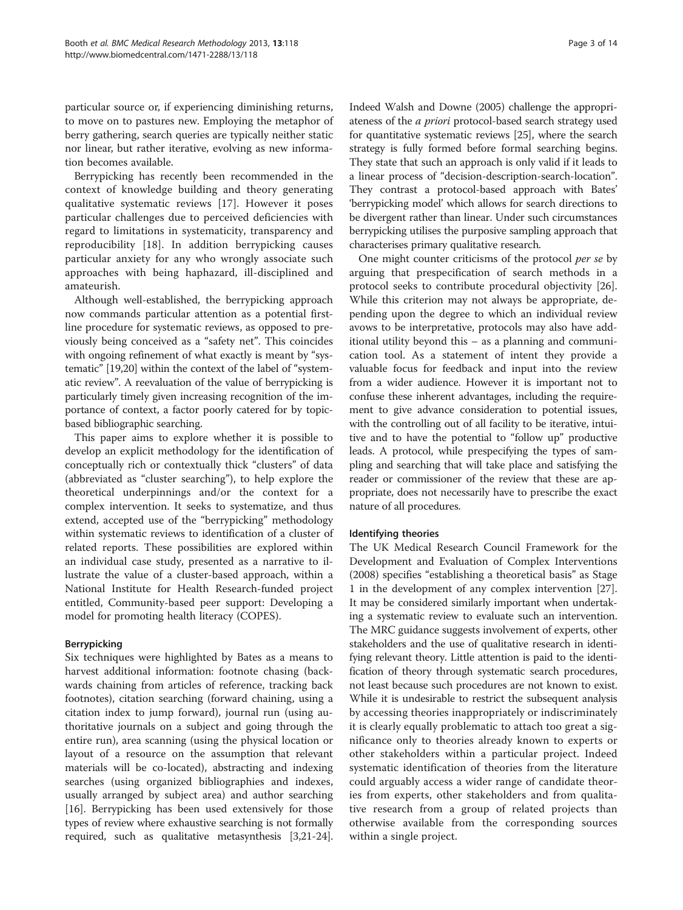particular source or, if experiencing diminishing returns, to move on to pastures new. Employing the metaphor of berry gathering, search queries are typically neither static nor linear, but rather iterative, evolving as new information becomes available.

Berrypicking has recently been recommended in the context of knowledge building and theory generating qualitative systematic reviews [\[17](#page-12-0)]. However it poses particular challenges due to perceived deficiencies with regard to limitations in systematicity, transparency and reproducibility [[18\]](#page-12-0). In addition berrypicking causes particular anxiety for any who wrongly associate such approaches with being haphazard, ill-disciplined and amateurish.

Although well-established, the berrypicking approach now commands particular attention as a potential firstline procedure for systematic reviews, as opposed to previously being conceived as a "safety net". This coincides with ongoing refinement of what exactly is meant by "systematic" [[19,20\]](#page-12-0) within the context of the label of "systematic review". A reevaluation of the value of berrypicking is particularly timely given increasing recognition of the importance of context, a factor poorly catered for by topicbased bibliographic searching.

This paper aims to explore whether it is possible to develop an explicit methodology for the identification of conceptually rich or contextually thick "clusters" of data (abbreviated as "cluster searching"), to help explore the theoretical underpinnings and/or the context for a complex intervention. It seeks to systematize, and thus extend, accepted use of the "berrypicking" methodology within systematic reviews to identification of a cluster of related reports. These possibilities are explored within an individual case study, presented as a narrative to illustrate the value of a cluster-based approach, within a National Institute for Health Research-funded project entitled, Community-based peer support: Developing a model for promoting health literacy (COPES).

# Berrypicking

Six techniques were highlighted by Bates as a means to harvest additional information: footnote chasing (backwards chaining from articles of reference, tracking back footnotes), citation searching (forward chaining, using a citation index to jump forward), journal run (using authoritative journals on a subject and going through the entire run), area scanning (using the physical location or layout of a resource on the assumption that relevant materials will be co-located), abstracting and indexing searches (using organized bibliographies and indexes, usually arranged by subject area) and author searching [[16\]](#page-12-0). Berrypicking has been used extensively for those types of review where exhaustive searching is not formally required, such as qualitative metasynthesis [[3,](#page-11-0)[21](#page-12-0)-[24](#page-12-0)]. Indeed Walsh and Downe (2005) challenge the appropriateness of the a priori protocol-based search strategy used for quantitative systematic reviews [\[25\]](#page-12-0), where the search strategy is fully formed before formal searching begins. They state that such an approach is only valid if it leads to a linear process of "decision-description-search-location". They contrast a protocol-based approach with Bates' 'berrypicking model' which allows for search directions to be divergent rather than linear. Under such circumstances berrypicking utilises the purposive sampling approach that characterises primary qualitative research.

One might counter criticisms of the protocol per se by arguing that prespecification of search methods in a protocol seeks to contribute procedural objectivity [\[26](#page-12-0)]. While this criterion may not always be appropriate, depending upon the degree to which an individual review avows to be interpretative, protocols may also have additional utility beyond this – as a planning and communication tool. As a statement of intent they provide a valuable focus for feedback and input into the review from a wider audience. However it is important not to confuse these inherent advantages, including the requirement to give advance consideration to potential issues, with the controlling out of all facility to be iterative, intuitive and to have the potential to "follow up" productive leads. A protocol, while prespecifying the types of sampling and searching that will take place and satisfying the reader or commissioner of the review that these are appropriate, does not necessarily have to prescribe the exact nature of all procedures.

#### Identifying theories

The UK Medical Research Council Framework for the Development and Evaluation of Complex Interventions (2008) specifies "establishing a theoretical basis" as Stage 1 in the development of any complex intervention [\[27](#page-12-0)]. It may be considered similarly important when undertaking a systematic review to evaluate such an intervention. The MRC guidance suggests involvement of experts, other stakeholders and the use of qualitative research in identifying relevant theory. Little attention is paid to the identification of theory through systematic search procedures, not least because such procedures are not known to exist. While it is undesirable to restrict the subsequent analysis by accessing theories inappropriately or indiscriminately it is clearly equally problematic to attach too great a significance only to theories already known to experts or other stakeholders within a particular project. Indeed systematic identification of theories from the literature could arguably access a wider range of candidate theories from experts, other stakeholders and from qualitative research from a group of related projects than otherwise available from the corresponding sources within a single project.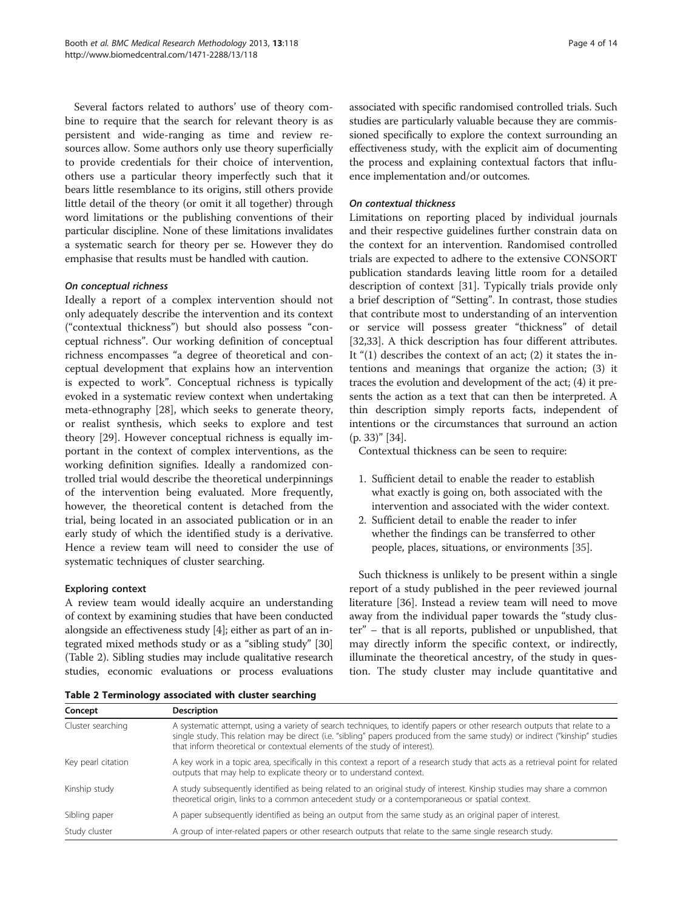<span id="page-3-0"></span>Several factors related to authors' use of theory combine to require that the search for relevant theory is as persistent and wide-ranging as time and review resources allow. Some authors only use theory superficially to provide credentials for their choice of intervention, others use a particular theory imperfectly such that it bears little resemblance to its origins, still others provide little detail of the theory (or omit it all together) through word limitations or the publishing conventions of their particular discipline. None of these limitations invalidates a systematic search for theory per se. However they do emphasise that results must be handled with caution.

# On conceptual richness

Ideally a report of a complex intervention should not only adequately describe the intervention and its context ("contextual thickness") but should also possess "conceptual richness". Our working definition of conceptual richness encompasses "a degree of theoretical and conceptual development that explains how an intervention is expected to work". Conceptual richness is typically evoked in a systematic review context when undertaking meta-ethnography [[28](#page-12-0)], which seeks to generate theory, or realist synthesis, which seeks to explore and test theory [[29](#page-12-0)]. However conceptual richness is equally important in the context of complex interventions, as the working definition signifies. Ideally a randomized controlled trial would describe the theoretical underpinnings of the intervention being evaluated. More frequently, however, the theoretical content is detached from the trial, being located in an associated publication or in an early study of which the identified study is a derivative. Hence a review team will need to consider the use of systematic techniques of cluster searching.

# Exploring context

A review team would ideally acquire an understanding of context by examining studies that have been conducted alongside an effectiveness study [[4](#page-11-0)]; either as part of an integrated mixed methods study or as a "sibling study" [[30](#page-12-0)] (Table 2). Sibling studies may include qualitative research studies, economic evaluations or process evaluations

associated with specific randomised controlled trials. Such studies are particularly valuable because they are commissioned specifically to explore the context surrounding an effectiveness study, with the explicit aim of documenting the process and explaining contextual factors that influence implementation and/or outcomes.

#### On contextual thickness

Limitations on reporting placed by individual journals and their respective guidelines further constrain data on the context for an intervention. Randomised controlled trials are expected to adhere to the extensive CONSORT publication standards leaving little room for a detailed description of context [\[31\]](#page-12-0). Typically trials provide only a brief description of "Setting". In contrast, those studies that contribute most to understanding of an intervention or service will possess greater "thickness" of detail [[32,33\]](#page-12-0). A thick description has four different attributes. It "(1) describes the context of an act; (2) it states the intentions and meanings that organize the action; (3) it traces the evolution and development of the act; (4) it presents the action as a text that can then be interpreted. A thin description simply reports facts, independent of intentions or the circumstances that surround an action (p. 33)" [[34](#page-12-0)].

Contextual thickness can be seen to require:

- 1. Sufficient detail to enable the reader to establish what exactly is going on, both associated with the intervention and associated with the wider context.
- 2. Sufficient detail to enable the reader to infer whether the findings can be transferred to other people, places, situations, or environments [[35\]](#page-12-0).

Such thickness is unlikely to be present within a single report of a study published in the peer reviewed journal literature [[36\]](#page-12-0). Instead a review team will need to move away from the individual paper towards the "study cluster" – that is all reports, published or unpublished, that may directly inform the specific context, or indirectly, illuminate the theoretical ancestry, of the study in question. The study cluster may include quantitative and

| Table 2 Terminology associated with cluster searching |  |  |
|-------------------------------------------------------|--|--|
|-------------------------------------------------------|--|--|

| Concept            | <b>Description</b>                                                                                                                                                                                                                                                                                                                      |
|--------------------|-----------------------------------------------------------------------------------------------------------------------------------------------------------------------------------------------------------------------------------------------------------------------------------------------------------------------------------------|
| Cluster searching  | A systematic attempt, using a variety of search techniques, to identify papers or other research outputs that relate to a<br>single study. This relation may be direct (i.e. "sibling" papers produced from the same study) or indirect ("kinship" studies<br>that inform theoretical or contextual elements of the study of interest). |
| Key pearl citation | A key work in a topic area, specifically in this context a report of a research study that acts as a retrieval point for related<br>outputs that may help to explicate theory or to understand context.                                                                                                                                 |
| Kinship study      | A study subsequently identified as being related to an original study of interest. Kinship studies may share a common<br>theoretical origin, links to a common antecedent study or a contemporaneous or spatial context.                                                                                                                |
| Sibling paper      | A paper subsequently identified as being an output from the same study as an original paper of interest.                                                                                                                                                                                                                                |
| Study cluster      | A group of inter-related papers or other research outputs that relate to the same single research study.                                                                                                                                                                                                                                |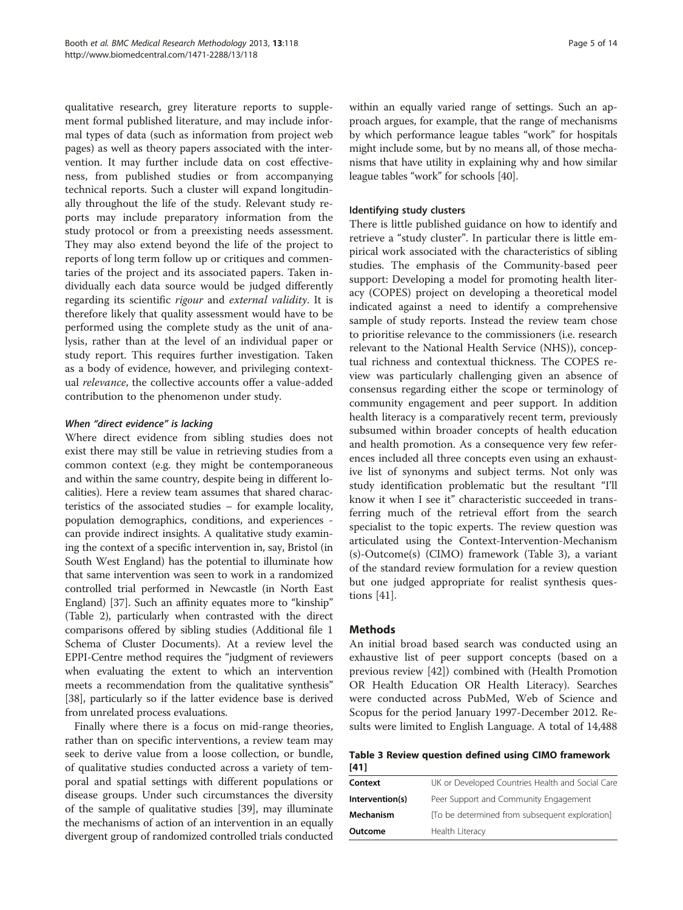qualitative research, grey literature reports to supplement formal published literature, and may include informal types of data (such as information from project web pages) as well as theory papers associated with the intervention. It may further include data on cost effectiveness, from published studies or from accompanying technical reports. Such a cluster will expand longitudinally throughout the life of the study. Relevant study reports may include preparatory information from the study protocol or from a preexisting needs assessment. They may also extend beyond the life of the project to reports of long term follow up or critiques and commentaries of the project and its associated papers. Taken individually each data source would be judged differently regarding its scientific rigour and external validity. It is therefore likely that quality assessment would have to be performed using the complete study as the unit of analysis, rather than at the level of an individual paper or study report. This requires further investigation. Taken as a body of evidence, however, and privileging contextual relevance, the collective accounts offer a value-added contribution to the phenomenon under study.

# When "direct evidence" is lacking

Where direct evidence from sibling studies does not exist there may still be value in retrieving studies from a common context (e.g. they might be contemporaneous and within the same country, despite being in different localities). Here a review team assumes that shared characteristics of the associated studies – for example locality, population demographics, conditions, and experiences can provide indirect insights. A qualitative study examining the context of a specific intervention in, say, Bristol (in South West England) has the potential to illuminate how that same intervention was seen to work in a randomized controlled trial performed in Newcastle (in North East England) [\[37\]](#page-12-0). Such an affinity equates more to "kinship" (Table [2\)](#page-3-0), particularly when contrasted with the direct comparisons offered by sibling studies (Additional file [1](#page-11-0) Schema of Cluster Documents). At a review level the EPPI-Centre method requires the "judgment of reviewers when evaluating the extent to which an intervention meets a recommendation from the qualitative synthesis" [[38](#page-12-0)], particularly so if the latter evidence base is derived from unrelated process evaluations.

Finally where there is a focus on mid-range theories, rather than on specific interventions, a review team may seek to derive value from a loose collection, or bundle, of qualitative studies conducted across a variety of temporal and spatial settings with different populations or disease groups. Under such circumstances the diversity of the sample of qualitative studies [\[39\]](#page-12-0), may illuminate the mechanisms of action of an intervention in an equally divergent group of randomized controlled trials conducted

within an equally varied range of settings. Such an approach argues, for example, that the range of mechanisms by which performance league tables "work" for hospitals might include some, but by no means all, of those mechanisms that have utility in explaining why and how similar league tables "work" for schools [\[40\]](#page-12-0).

# Identifying study clusters

There is little published guidance on how to identify and retrieve a "study cluster". In particular there is little empirical work associated with the characteristics of sibling studies. The emphasis of the Community-based peer support: Developing a model for promoting health literacy (COPES) project on developing a theoretical model indicated against a need to identify a comprehensive sample of study reports. Instead the review team chose to prioritise relevance to the commissioners (i.e. research relevant to the National Health Service (NHS)), conceptual richness and contextual thickness. The COPES review was particularly challenging given an absence of consensus regarding either the scope or terminology of community engagement and peer support. In addition health literacy is a comparatively recent term, previously subsumed within broader concepts of health education and health promotion. As a consequence very few references included all three concepts even using an exhaustive list of synonyms and subject terms. Not only was study identification problematic but the resultant "I'll know it when I see it" characteristic succeeded in transferring much of the retrieval effort from the search specialist to the topic experts. The review question was articulated using the Context-Intervention-Mechanism (s)-Outcome(s) (CIMO) framework (Table 3), a variant of the standard review formulation for a review question but one judged appropriate for realist synthesis questions [[41\]](#page-12-0).

# Methods

An initial broad based search was conducted using an exhaustive list of peer support concepts (based on a previous review [[42\]](#page-12-0)) combined with (Health Promotion OR Health Education OR Health Literacy). Searches were conducted across PubMed, Web of Science and Scopus for the period January 1997-December 2012. Results were limited to English Language. A total of 14,488

Table 3 Review question defined using CIMO framework [[41](#page-12-0)]

| Context         | UK or Developed Countries Health and Social Care |
|-----------------|--------------------------------------------------|
| Intervention(s) | Peer Support and Community Engagement            |
| Mechanism       | To be determined from subsequent exploration     |
| Outcome         | Health Literacy                                  |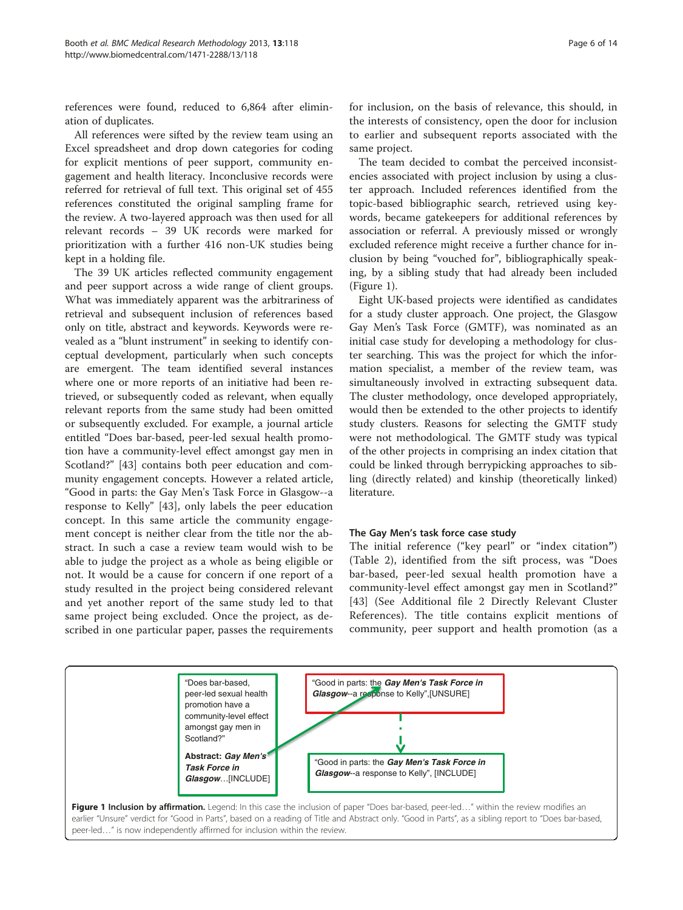references were found, reduced to 6,864 after elimination of duplicates.

All references were sifted by the review team using an Excel spreadsheet and drop down categories for coding for explicit mentions of peer support, community engagement and health literacy. Inconclusive records were referred for retrieval of full text. This original set of 455 references constituted the original sampling frame for the review. A two-layered approach was then used for all relevant records – 39 UK records were marked for prioritization with a further 416 non-UK studies being kept in a holding file.

The 39 UK articles reflected community engagement and peer support across a wide range of client groups. What was immediately apparent was the arbitrariness of retrieval and subsequent inclusion of references based only on title, abstract and keywords. Keywords were revealed as a "blunt instrument" in seeking to identify conceptual development, particularly when such concepts are emergent. The team identified several instances where one or more reports of an initiative had been retrieved, or subsequently coded as relevant, when equally relevant reports from the same study had been omitted or subsequently excluded. For example, a journal article entitled "Does bar-based, peer-led sexual health promotion have a community-level effect amongst gay men in Scotland?" [[43](#page-12-0)] contains both peer education and community engagement concepts. However a related article, "Good in parts: the Gay Men's Task Force in Glasgow--a response to Kelly" [[43\]](#page-12-0), only labels the peer education concept. In this same article the community engagement concept is neither clear from the title nor the abstract. In such a case a review team would wish to be able to judge the project as a whole as being eligible or not. It would be a cause for concern if one report of a study resulted in the project being considered relevant and yet another report of the same study led to that same project being excluded. Once the project, as described in one particular paper, passes the requirements

for inclusion, on the basis of relevance, this should, in the interests of consistency, open the door for inclusion to earlier and subsequent reports associated with the same project.

The team decided to combat the perceived inconsistencies associated with project inclusion by using a cluster approach. Included references identified from the topic-based bibliographic search, retrieved using keywords, became gatekeepers for additional references by association or referral. A previously missed or wrongly excluded reference might receive a further chance for inclusion by being "vouched for", bibliographically speaking, by a sibling study that had already been included (Figure 1).

Eight UK-based projects were identified as candidates for a study cluster approach. One project, the Glasgow Gay Men's Task Force (GMTF), was nominated as an initial case study for developing a methodology for cluster searching. This was the project for which the information specialist, a member of the review team, was simultaneously involved in extracting subsequent data. The cluster methodology, once developed appropriately, would then be extended to the other projects to identify study clusters. Reasons for selecting the GMTF study were not methodological. The GMTF study was typical of the other projects in comprising an index citation that could be linked through berrypicking approaches to sibling (directly related) and kinship (theoretically linked) literature.

#### The Gay Men's task force case study

The initial reference ("key pearl" or "index citation") (Table [2](#page-3-0)), identified from the sift process, was "Does bar-based, peer-led sexual health promotion have a community-level effect amongst gay men in Scotland?" [[43](#page-12-0)] (See Additional file [2](#page-11-0) Directly Relevant Cluster References). The title contains explicit mentions of community, peer support and health promotion (as a

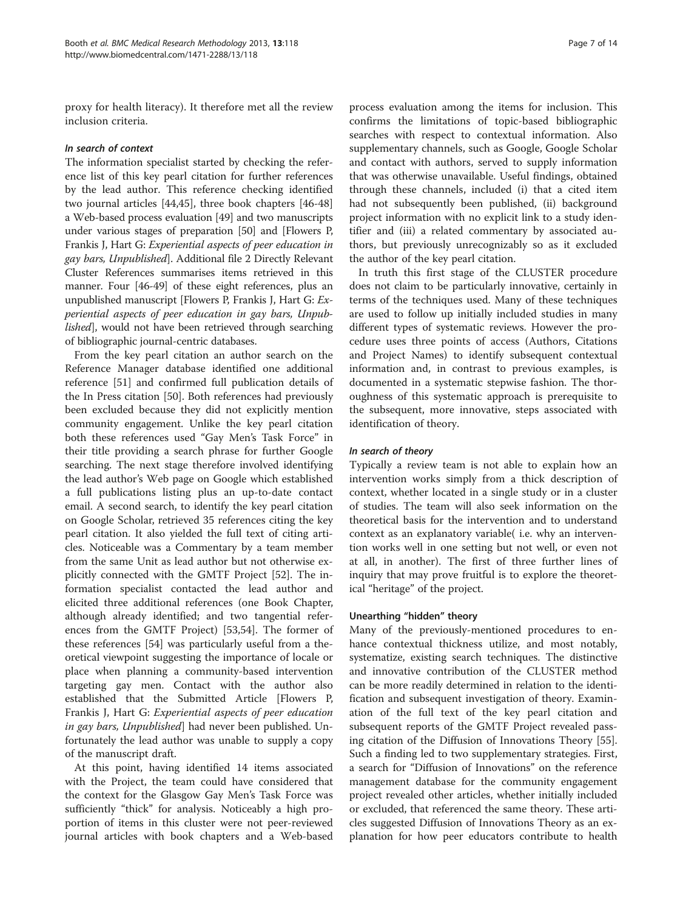proxy for health literacy). It therefore met all the review inclusion criteria.

#### In search of context

The information specialist started by checking the reference list of this key pearl citation for further references by the lead author. This reference checking identified two journal articles [[44,45\]](#page-12-0), three book chapters [\[46-48](#page-12-0)] a Web-based process evaluation [[49\]](#page-12-0) and two manuscripts under various stages of preparation [[50](#page-12-0)] and [Flowers P, Frankis J, Hart G: Experiential aspects of peer education in gay bars, Unpublished]. Additional file [2](#page-11-0) Directly Relevant Cluster References summarises items retrieved in this manner. Four [[46](#page-12-0)-[49](#page-12-0)] of these eight references, plus an unpublished manuscript [Flowers P, Frankis J, Hart G: Experiential aspects of peer education in gay bars, Unpublished], would not have been retrieved through searching of bibliographic journal-centric databases.

From the key pearl citation an author search on the Reference Manager database identified one additional reference [[51\]](#page-12-0) and confirmed full publication details of the In Press citation [[50\]](#page-12-0). Both references had previously been excluded because they did not explicitly mention community engagement. Unlike the key pearl citation both these references used "Gay Men's Task Force" in their title providing a search phrase for further Google searching. The next stage therefore involved identifying the lead author's Web page on Google which established a full publications listing plus an up-to-date contact email. A second search, to identify the key pearl citation on Google Scholar, retrieved 35 references citing the key pearl citation. It also yielded the full text of citing articles. Noticeable was a Commentary by a team member from the same Unit as lead author but not otherwise explicitly connected with the GMTF Project [[52\]](#page-12-0). The information specialist contacted the lead author and elicited three additional references (one Book Chapter, although already identified; and two tangential references from the GMTF Project) [[53,54\]](#page-12-0). The former of these references [[54](#page-12-0)] was particularly useful from a theoretical viewpoint suggesting the importance of locale or place when planning a community-based intervention targeting gay men. Contact with the author also established that the Submitted Article [Flowers P, Frankis J, Hart G: Experiential aspects of peer education in gay bars, Unpublished] had never been published. Unfortunately the lead author was unable to supply a copy of the manuscript draft.

At this point, having identified 14 items associated with the Project, the team could have considered that the context for the Glasgow Gay Men's Task Force was sufficiently "thick" for analysis. Noticeably a high proportion of items in this cluster were not peer-reviewed journal articles with book chapters and a Web-based

process evaluation among the items for inclusion. This confirms the limitations of topic-based bibliographic searches with respect to contextual information. Also supplementary channels, such as Google, Google Scholar and contact with authors, served to supply information that was otherwise unavailable. Useful findings, obtained through these channels, included (i) that a cited item had not subsequently been published, (ii) background project information with no explicit link to a study identifier and (iii) a related commentary by associated authors, but previously unrecognizably so as it excluded the author of the key pearl citation.

In truth this first stage of the CLUSTER procedure does not claim to be particularly innovative, certainly in terms of the techniques used. Many of these techniques are used to follow up initially included studies in many different types of systematic reviews. However the procedure uses three points of access (Authors, Citations and Project Names) to identify subsequent contextual information and, in contrast to previous examples, is documented in a systematic stepwise fashion. The thoroughness of this systematic approach is prerequisite to the subsequent, more innovative, steps associated with identification of theory.

#### In search of theory

Typically a review team is not able to explain how an intervention works simply from a thick description of context, whether located in a single study or in a cluster of studies. The team will also seek information on the theoretical basis for the intervention and to understand context as an explanatory variable( i.e. why an intervention works well in one setting but not well, or even not at all, in another). The first of three further lines of inquiry that may prove fruitful is to explore the theoretical "heritage" of the project.

#### Unearthing "hidden" theory

Many of the previously-mentioned procedures to enhance contextual thickness utilize, and most notably, systematize, existing search techniques. The distinctive and innovative contribution of the CLUSTER method can be more readily determined in relation to the identification and subsequent investigation of theory. Examination of the full text of the key pearl citation and subsequent reports of the GMTF Project revealed passing citation of the Diffusion of Innovations Theory [\[55](#page-12-0)]. Such a finding led to two supplementary strategies. First, a search for "Diffusion of Innovations" on the reference management database for the community engagement project revealed other articles, whether initially included or excluded, that referenced the same theory. These articles suggested Diffusion of Innovations Theory as an explanation for how peer educators contribute to health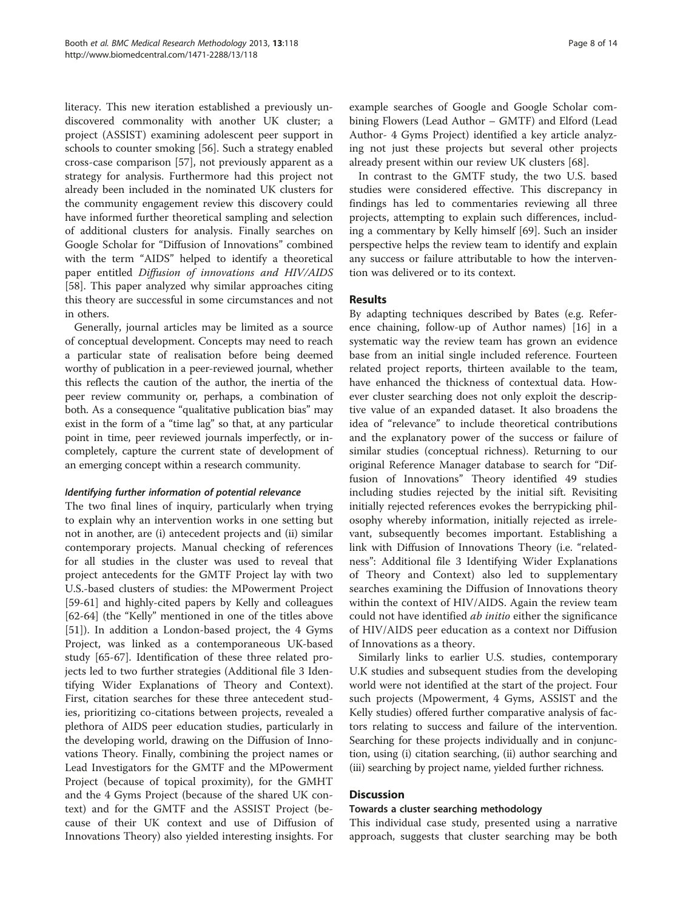literacy. This new iteration established a previously undiscovered commonality with another UK cluster; a project (ASSIST) examining adolescent peer support in schools to counter smoking [\[56\]](#page-12-0). Such a strategy enabled cross-case comparison [[57](#page-12-0)], not previously apparent as a strategy for analysis. Furthermore had this project not already been included in the nominated UK clusters for the community engagement review this discovery could have informed further theoretical sampling and selection of additional clusters for analysis. Finally searches on Google Scholar for "Diffusion of Innovations" combined with the term "AIDS" helped to identify a theoretical paper entitled Diffusion of innovations and HIV/AIDS [[58\]](#page-12-0). This paper analyzed why similar approaches citing this theory are successful in some circumstances and not in others.

Generally, journal articles may be limited as a source of conceptual development. Concepts may need to reach a particular state of realisation before being deemed worthy of publication in a peer-reviewed journal, whether this reflects the caution of the author, the inertia of the peer review community or, perhaps, a combination of both. As a consequence "qualitative publication bias" may exist in the form of a "time lag" so that, at any particular point in time, peer reviewed journals imperfectly, or incompletely, capture the current state of development of an emerging concept within a research community.

# Identifying further information of potential relevance

The two final lines of inquiry, particularly when trying to explain why an intervention works in one setting but not in another, are (i) antecedent projects and (ii) similar contemporary projects. Manual checking of references for all studies in the cluster was used to reveal that project antecedents for the GMTF Project lay with two U.S.-based clusters of studies: the MPowerment Project [[59-](#page-12-0)[61](#page-13-0)] and highly-cited papers by Kelly and colleagues [[62-64](#page-13-0)] (the "Kelly" mentioned in one of the titles above [[51\]](#page-12-0)). In addition a London-based project, the 4 Gyms Project, was linked as a contemporaneous UK-based study [\[65-67](#page-13-0)]. Identification of these three related projects led to two further strategies (Additional file [3](#page-11-0) Identifying Wider Explanations of Theory and Context). First, citation searches for these three antecedent studies, prioritizing co-citations between projects, revealed a plethora of AIDS peer education studies, particularly in the developing world, drawing on the Diffusion of Innovations Theory. Finally, combining the project names or Lead Investigators for the GMTF and the MPowerment Project (because of topical proximity), for the GMHT and the 4 Gyms Project (because of the shared UK context) and for the GMTF and the ASSIST Project (because of their UK context and use of Diffusion of Innovations Theory) also yielded interesting insights. For

example searches of Google and Google Scholar combining Flowers (Lead Author – GMTF) and Elford (Lead Author- 4 Gyms Project) identified a key article analyzing not just these projects but several other projects already present within our review UK clusters [[68\]](#page-13-0).

In contrast to the GMTF study, the two U.S. based studies were considered effective. This discrepancy in findings has led to commentaries reviewing all three projects, attempting to explain such differences, including a commentary by Kelly himself [[69\]](#page-13-0). Such an insider perspective helps the review team to identify and explain any success or failure attributable to how the intervention was delivered or to its context.

# Results

By adapting techniques described by Bates (e.g. Reference chaining, follow-up of Author names) [\[16](#page-12-0)] in a systematic way the review team has grown an evidence base from an initial single included reference. Fourteen related project reports, thirteen available to the team, have enhanced the thickness of contextual data. However cluster searching does not only exploit the descriptive value of an expanded dataset. It also broadens the idea of "relevance" to include theoretical contributions and the explanatory power of the success or failure of similar studies (conceptual richness). Returning to our original Reference Manager database to search for "Diffusion of Innovations" Theory identified 49 studies including studies rejected by the initial sift. Revisiting initially rejected references evokes the berrypicking philosophy whereby information, initially rejected as irrelevant, subsequently becomes important. Establishing a link with Diffusion of Innovations Theory (i.e. "relatedness": Additional file [3](#page-11-0) Identifying Wider Explanations of Theory and Context) also led to supplementary searches examining the Diffusion of Innovations theory within the context of HIV/AIDS. Again the review team could not have identified ab initio either the significance of HIV/AIDS peer education as a context nor Diffusion of Innovations as a theory.

Similarly links to earlier U.S. studies, contemporary U.K studies and subsequent studies from the developing world were not identified at the start of the project. Four such projects (Mpowerment, 4 Gyms, ASSIST and the Kelly studies) offered further comparative analysis of factors relating to success and failure of the intervention. Searching for these projects individually and in conjunction, using (i) citation searching, (ii) author searching and (iii) searching by project name, yielded further richness.

# **Discussion**

#### Towards a cluster searching methodology

This individual case study, presented using a narrative approach, suggests that cluster searching may be both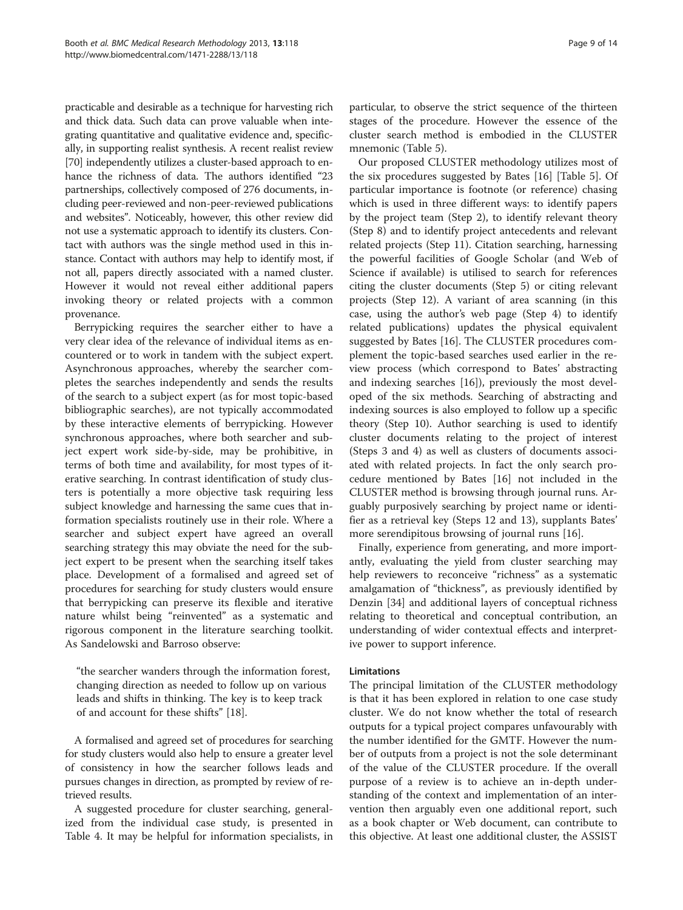practicable and desirable as a technique for harvesting rich and thick data. Such data can prove valuable when integrating quantitative and qualitative evidence and, specifically, in supporting realist synthesis. A recent realist review [[70](#page-13-0)] independently utilizes a cluster-based approach to enhance the richness of data. The authors identified "23 partnerships, collectively composed of 276 documents, including peer-reviewed and non-peer-reviewed publications and websites". Noticeably, however, this other review did not use a systematic approach to identify its clusters. Contact with authors was the single method used in this instance. Contact with authors may help to identify most, if not all, papers directly associated with a named cluster. However it would not reveal either additional papers invoking theory or related projects with a common provenance.

Berrypicking requires the searcher either to have a very clear idea of the relevance of individual items as encountered or to work in tandem with the subject expert. Asynchronous approaches, whereby the searcher completes the searches independently and sends the results of the search to a subject expert (as for most topic-based bibliographic searches), are not typically accommodated by these interactive elements of berrypicking. However synchronous approaches, where both searcher and subject expert work side-by-side, may be prohibitive, in terms of both time and availability, for most types of iterative searching. In contrast identification of study clusters is potentially a more objective task requiring less subject knowledge and harnessing the same cues that information specialists routinely use in their role. Where a searcher and subject expert have agreed an overall searching strategy this may obviate the need for the subject expert to be present when the searching itself takes place. Development of a formalised and agreed set of procedures for searching for study clusters would ensure that berrypicking can preserve its flexible and iterative nature whilst being "reinvented" as a systematic and rigorous component in the literature searching toolkit. As Sandelowski and Barroso observe:

"the searcher wanders through the information forest, changing direction as needed to follow up on various leads and shifts in thinking. The key is to keep track of and account for these shifts" [[18](#page-12-0)].

A formalised and agreed set of procedures for searching for study clusters would also help to ensure a greater level of consistency in how the searcher follows leads and pursues changes in direction, as prompted by review of retrieved results.

A suggested procedure for cluster searching, generalized from the individual case study, is presented in Table [4](#page-9-0). It may be helpful for information specialists, in particular, to observe the strict sequence of the thirteen stages of the procedure. However the essence of the cluster search method is embodied in the CLUSTER mnemonic (Table [5\)](#page-9-0).

Our proposed CLUSTER methodology utilizes most of the six procedures suggested by Bates [[16\]](#page-12-0) [Table [5](#page-9-0)]. Of particular importance is footnote (or reference) chasing which is used in three different ways: to identify papers by the project team (Step 2), to identify relevant theory (Step 8) and to identify project antecedents and relevant related projects (Step 11). Citation searching, harnessing the powerful facilities of Google Scholar (and Web of Science if available) is utilised to search for references citing the cluster documents (Step 5) or citing relevant projects (Step 12). A variant of area scanning (in this case, using the author's web page (Step 4) to identify related publications) updates the physical equivalent suggested by Bates [\[16\]](#page-12-0). The CLUSTER procedures complement the topic-based searches used earlier in the review process (which correspond to Bates' abstracting and indexing searches [\[16](#page-12-0)]), previously the most developed of the six methods. Searching of abstracting and indexing sources is also employed to follow up a specific theory (Step 10). Author searching is used to identify cluster documents relating to the project of interest (Steps 3 and 4) as well as clusters of documents associated with related projects. In fact the only search procedure mentioned by Bates [\[16\]](#page-12-0) not included in the CLUSTER method is browsing through journal runs. Arguably purposively searching by project name or identifier as a retrieval key (Steps 12 and 13), supplants Bates' more serendipitous browsing of journal runs [[16\]](#page-12-0).

Finally, experience from generating, and more importantly, evaluating the yield from cluster searching may help reviewers to reconceive "richness" as a systematic amalgamation of "thickness", as previously identified by Denzin [[34](#page-12-0)] and additional layers of conceptual richness relating to theoretical and conceptual contribution, an understanding of wider contextual effects and interpretive power to support inference.

#### Limitations

The principal limitation of the CLUSTER methodology is that it has been explored in relation to one case study cluster. We do not know whether the total of research outputs for a typical project compares unfavourably with the number identified for the GMTF. However the number of outputs from a project is not the sole determinant of the value of the CLUSTER procedure. If the overall purpose of a review is to achieve an in-depth understanding of the context and implementation of an intervention then arguably even one additional report, such as a book chapter or Web document, can contribute to this objective. At least one additional cluster, the ASSIST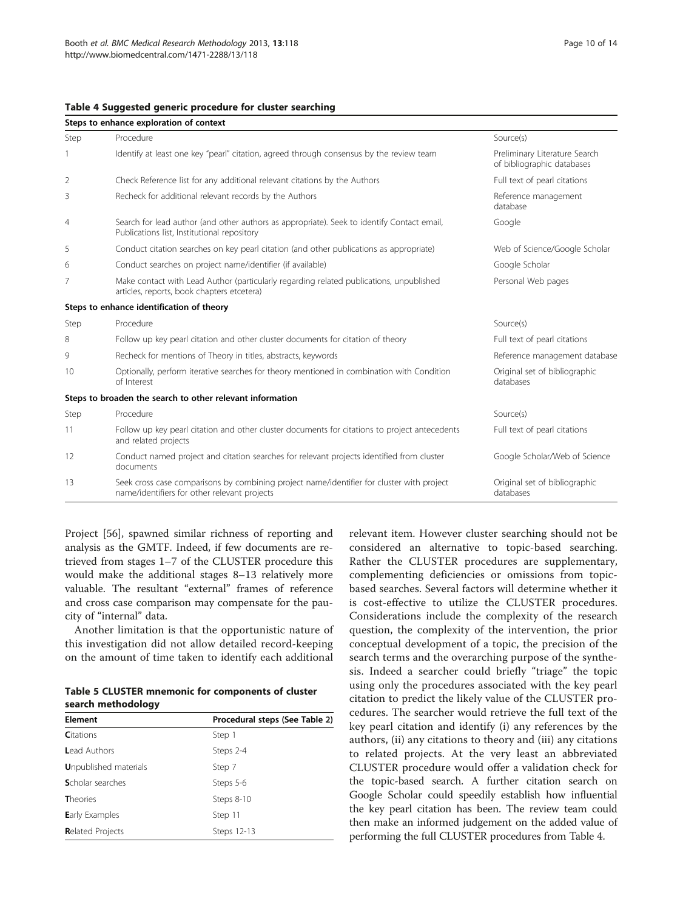<span id="page-9-0"></span>

| Table 4 Suggested generic procedure for cluster searching |  |  |  |  |
|-----------------------------------------------------------|--|--|--|--|
|-----------------------------------------------------------|--|--|--|--|

| Steps to enhance exploration of context |                                                                                                                                           |                                                             |  |
|-----------------------------------------|-------------------------------------------------------------------------------------------------------------------------------------------|-------------------------------------------------------------|--|
| Step                                    | Procedure                                                                                                                                 | Source(s)                                                   |  |
|                                         | Identify at least one key "pearl" citation, agreed through consensus by the review team                                                   | Preliminary Literature Search<br>of bibliographic databases |  |
| 2                                       | Check Reference list for any additional relevant citations by the Authors                                                                 | Full text of pearl citations                                |  |
| 3                                       | Recheck for additional relevant records by the Authors                                                                                    | Reference management<br>database                            |  |
| 4                                       | Search for lead author (and other authors as appropriate). Seek to identify Contact email,<br>Publications list, Institutional repository | Google                                                      |  |
| 5                                       | Conduct citation searches on key pearl citation (and other publications as appropriate)                                                   | Web of Science/Google Scholar                               |  |
| 6                                       | Conduct searches on project name/identifier (if available)                                                                                | Google Scholar                                              |  |
| 7                                       | Make contact with Lead Author (particularly regarding related publications, unpublished<br>articles, reports, book chapters etcetera)     | Personal Web pages                                          |  |
|                                         | Steps to enhance identification of theory                                                                                                 |                                                             |  |
| Step                                    | Procedure                                                                                                                                 | Source(s)                                                   |  |
| 8                                       | Follow up key pearl citation and other cluster documents for citation of theory                                                           | Full text of pearl citations                                |  |
| 9                                       | Recheck for mentions of Theory in titles, abstracts, keywords                                                                             | Reference management database                               |  |
| 10                                      | Optionally, perform iterative searches for theory mentioned in combination with Condition<br>of Interest                                  | Original set of bibliographic<br>databases                  |  |
|                                         | Steps to broaden the search to other relevant information                                                                                 |                                                             |  |
| Step                                    | Procedure                                                                                                                                 | Source(s)                                                   |  |
| 11                                      | Follow up key pearl citation and other cluster documents for citations to project antecedents<br>and related projects                     | Full text of pearl citations                                |  |
| 12                                      | Conduct named project and citation searches for relevant projects identified from cluster<br>documents                                    | Google Scholar/Web of Science                               |  |
| 13                                      | Seek cross case comparisons by combining project name/identifier for cluster with project<br>name/identifiers for other relevant projects | Original set of bibliographic<br>databases                  |  |

Project [[56\]](#page-12-0), spawned similar richness of reporting and analysis as the GMTF. Indeed, if few documents are retrieved from stages 1–7 of the CLUSTER procedure this would make the additional stages 8–13 relatively more valuable. The resultant "external" frames of reference and cross case comparison may compensate for the paucity of "internal" data.

Another limitation is that the opportunistic nature of this investigation did not allow detailed record-keeping on the amount of time taken to identify each additional

Table 5 CLUSTER mnemonic for components of cluster search methodology

| <b>Element</b>                | Procedural steps (See Table 2) |
|-------------------------------|--------------------------------|
| <b>C</b> itations             | Step 1                         |
| <b>Lead Authors</b>           | Steps 2-4                      |
| <b>U</b> npublished materials | Step 7                         |
| <b>S</b> cholar searches      | Steps 5-6                      |
| <b>Theories</b>               | Steps 8-10                     |
| <b>Early Examples</b>         | Step 11                        |
| <b>Related Projects</b>       | Steps 12-13                    |

relevant item. However cluster searching should not be considered an alternative to topic-based searching. Rather the CLUSTER procedures are supplementary, complementing deficiencies or omissions from topicbased searches. Several factors will determine whether it is cost-effective to utilize the CLUSTER procedures. Considerations include the complexity of the research question, the complexity of the intervention, the prior conceptual development of a topic, the precision of the search terms and the overarching purpose of the synthesis. Indeed a searcher could briefly "triage" the topic using only the procedures associated with the key pearl citation to predict the likely value of the CLUSTER procedures. The searcher would retrieve the full text of the key pearl citation and identify (i) any references by the authors, (ii) any citations to theory and (iii) any citations to related projects. At the very least an abbreviated CLUSTER procedure would offer a validation check for the topic-based search. A further citation search on Google Scholar could speedily establish how influential the key pearl citation has been. The review team could then make an informed judgement on the added value of performing the full CLUSTER procedures from Table 4.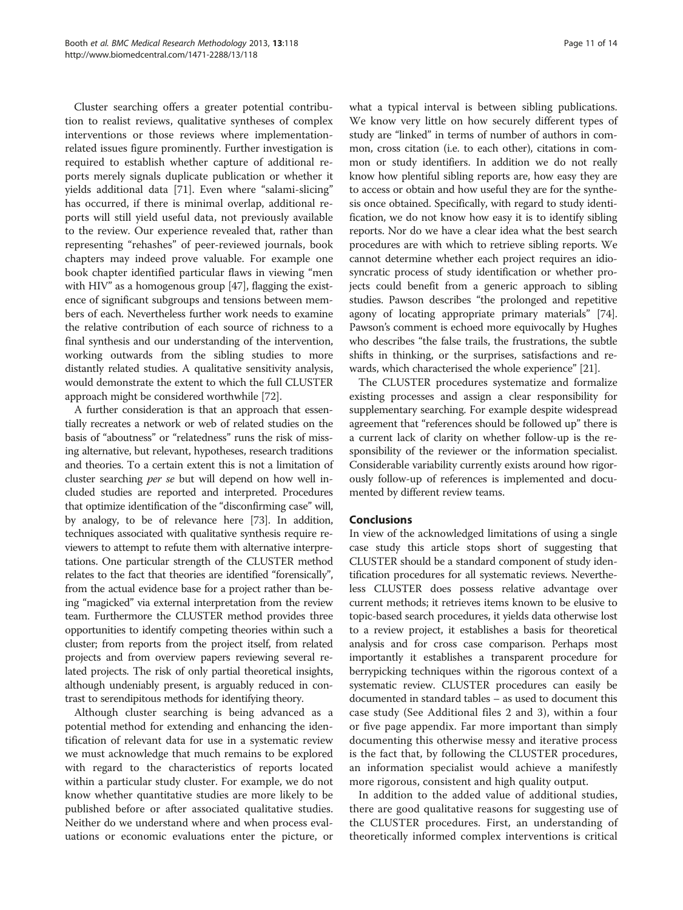Cluster searching offers a greater potential contribution to realist reviews, qualitative syntheses of complex interventions or those reviews where implementationrelated issues figure prominently. Further investigation is required to establish whether capture of additional reports merely signals duplicate publication or whether it yields additional data [[71](#page-13-0)]. Even where "salami-slicing" has occurred, if there is minimal overlap, additional reports will still yield useful data, not previously available to the review. Our experience revealed that, rather than representing "rehashes" of peer-reviewed journals, book chapters may indeed prove valuable. For example one book chapter identified particular flaws in viewing "men with HIV" as a homogenous group [\[47\]](#page-12-0), flagging the existence of significant subgroups and tensions between members of each. Nevertheless further work needs to examine the relative contribution of each source of richness to a final synthesis and our understanding of the intervention, working outwards from the sibling studies to more distantly related studies. A qualitative sensitivity analysis, would demonstrate the extent to which the full CLUSTER approach might be considered worthwhile [\[72\]](#page-13-0).

A further consideration is that an approach that essentially recreates a network or web of related studies on the basis of "aboutness" or "relatedness" runs the risk of missing alternative, but relevant, hypotheses, research traditions and theories. To a certain extent this is not a limitation of cluster searching per se but will depend on how well included studies are reported and interpreted. Procedures that optimize identification of the "disconfirming case" will, by analogy, to be of relevance here [\[73\]](#page-13-0). In addition, techniques associated with qualitative synthesis require reviewers to attempt to refute them with alternative interpretations. One particular strength of the CLUSTER method relates to the fact that theories are identified "forensically", from the actual evidence base for a project rather than being "magicked" via external interpretation from the review team. Furthermore the CLUSTER method provides three opportunities to identify competing theories within such a cluster; from reports from the project itself, from related projects and from overview papers reviewing several related projects. The risk of only partial theoretical insights, although undeniably present, is arguably reduced in contrast to serendipitous methods for identifying theory.

Although cluster searching is being advanced as a potential method for extending and enhancing the identification of relevant data for use in a systematic review we must acknowledge that much remains to be explored with regard to the characteristics of reports located within a particular study cluster. For example, we do not know whether quantitative studies are more likely to be published before or after associated qualitative studies. Neither do we understand where and when process evaluations or economic evaluations enter the picture, or

what a typical interval is between sibling publications. We know very little on how securely different types of study are "linked" in terms of number of authors in common, cross citation (i.e. to each other), citations in common or study identifiers. In addition we do not really know how plentiful sibling reports are, how easy they are to access or obtain and how useful they are for the synthesis once obtained. Specifically, with regard to study identification, we do not know how easy it is to identify sibling reports. Nor do we have a clear idea what the best search procedures are with which to retrieve sibling reports. We cannot determine whether each project requires an idiosyncratic process of study identification or whether projects could benefit from a generic approach to sibling studies. Pawson describes "the prolonged and repetitive agony of locating appropriate primary materials" [[74](#page-13-0)]. Pawson's comment is echoed more equivocally by Hughes who describes "the false trails, the frustrations, the subtle shifts in thinking, or the surprises, satisfactions and rewards, which characterised the whole experience" [[21](#page-12-0)].

The CLUSTER procedures systematize and formalize existing processes and assign a clear responsibility for supplementary searching. For example despite widespread agreement that "references should be followed up" there is a current lack of clarity on whether follow-up is the responsibility of the reviewer or the information specialist. Considerable variability currently exists around how rigorously follow-up of references is implemented and documented by different review teams.

#### Conclusions

In view of the acknowledged limitations of using a single case study this article stops short of suggesting that CLUSTER should be a standard component of study identification procedures for all systematic reviews. Nevertheless CLUSTER does possess relative advantage over current methods; it retrieves items known to be elusive to topic-based search procedures, it yields data otherwise lost to a review project, it establishes a basis for theoretical analysis and for cross case comparison. Perhaps most importantly it establishes a transparent procedure for berrypicking techniques within the rigorous context of a systematic review. CLUSTER procedures can easily be documented in standard tables – as used to document this case study (See Additional files [2](#page-11-0) and [3\)](#page-11-0), within a four or five page appendix. Far more important than simply documenting this otherwise messy and iterative process is the fact that, by following the CLUSTER procedures, an information specialist would achieve a manifestly more rigorous, consistent and high quality output.

In addition to the added value of additional studies, there are good qualitative reasons for suggesting use of the CLUSTER procedures. First, an understanding of theoretically informed complex interventions is critical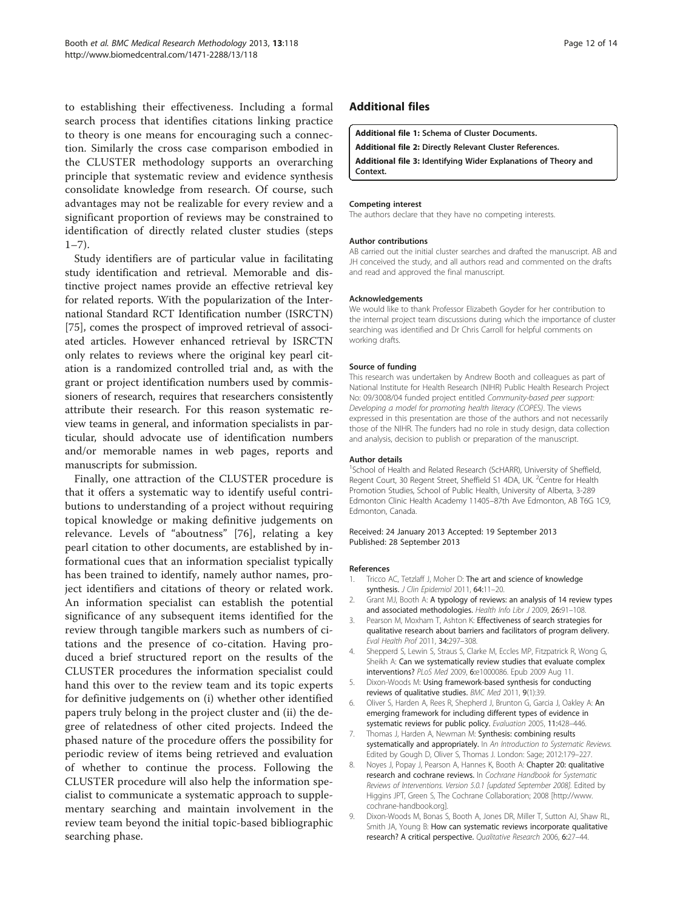<span id="page-11-0"></span>to establishing their effectiveness. Including a formal search process that identifies citations linking practice to theory is one means for encouraging such a connection. Similarly the cross case comparison embodied in the CLUSTER methodology supports an overarching principle that systematic review and evidence synthesis consolidate knowledge from research. Of course, such advantages may not be realizable for every review and a significant proportion of reviews may be constrained to identification of directly related cluster studies (steps  $1 - 7$ ).

Study identifiers are of particular value in facilitating study identification and retrieval. Memorable and distinctive project names provide an effective retrieval key for related reports. With the popularization of the International Standard RCT Identification number (ISRCTN) [[75\]](#page-13-0), comes the prospect of improved retrieval of associated articles. However enhanced retrieval by ISRCTN only relates to reviews where the original key pearl citation is a randomized controlled trial and, as with the grant or project identification numbers used by commissioners of research, requires that researchers consistently attribute their research. For this reason systematic review teams in general, and information specialists in particular, should advocate use of identification numbers and/or memorable names in web pages, reports and manuscripts for submission.

Finally, one attraction of the CLUSTER procedure is that it offers a systematic way to identify useful contributions to understanding of a project without requiring topical knowledge or making definitive judgements on relevance. Levels of "aboutness" [\[76](#page-13-0)], relating a key pearl citation to other documents, are established by informational cues that an information specialist typically has been trained to identify, namely author names, project identifiers and citations of theory or related work. An information specialist can establish the potential significance of any subsequent items identified for the review through tangible markers such as numbers of citations and the presence of co-citation. Having produced a brief structured report on the results of the CLUSTER procedures the information specialist could hand this over to the review team and its topic experts for definitive judgements on (i) whether other identified papers truly belong in the project cluster and (ii) the degree of relatedness of other cited projects. Indeed the phased nature of the procedure offers the possibility for periodic review of items being retrieved and evaluation of whether to continue the process. Following the CLUSTER procedure will also help the information specialist to communicate a systematic approach to supplementary searching and maintain involvement in the review team beyond the initial topic-based bibliographic searching phase.

# Additional files

[Additional file 1:](http://www.biomedcentral.com/content/supplementary/1471-2288-13-118-S1.docx) Schema of Cluster Documents.

[Additional file 2:](http://www.biomedcentral.com/content/supplementary/1471-2288-13-118-S2.docx) Directly Relevant Cluster References.

[Additional file 3:](http://www.biomedcentral.com/content/supplementary/1471-2288-13-118-S3.docx) Identifying Wider Explanations of Theory and Context.

#### Competing interest

The authors declare that they have no competing interests.

#### Author contributions

AB carried out the initial cluster searches and drafted the manuscript. AB and JH conceived the study, and all authors read and commented on the drafts and read and approved the final manuscript.

#### Acknowledgements

We would like to thank Professor Elizabeth Goyder for her contribution to the internal project team discussions during which the importance of cluster searching was identified and Dr Chris Carroll for helpful comments on working drafts.

#### Source of funding

This research was undertaken by Andrew Booth and colleagues as part of National Institute for Health Research (NIHR) Public Health Research Project No: 09/3008/04 funded project entitled Community-based peer support: Developing a model for promoting health literacy (COPES). The views expressed in this presentation are those of the authors and not necessarily those of the NIHR. The funders had no role in study design, data collection and analysis, decision to publish or preparation of the manuscript.

#### Author details

<sup>1</sup>School of Health and Related Research (ScHARR), University of Sheffield, Regent Court, 30 Regent Street, Sheffield S1 4DA, UK. <sup>2</sup>Centre for Health Promotion Studies, School of Public Health, University of Alberta, 3-289 Edmonton Clinic Health Academy 11405–87th Ave Edmonton, AB T6G 1C9, Edmonton, Canada.

Received: 24 January 2013 Accepted: 19 September 2013 Published: 28 September 2013

#### References

- Tricco AC, Tetzlaff J, Moher D: The art and science of knowledge synthesis. J Clin Epidemiol 2011, 64:11-20.
- 2. Grant MJ, Booth A: A typology of reviews: an analysis of 14 review types and associated methodologies. Health Info Libr J 2009, 26:91-108.
- 3. Pearson M, Moxham T, Ashton K: Effectiveness of search strategies for qualitative research about barriers and facilitators of program delivery. Eval Health Prof 2011, 34:297–308.
- 4. Shepperd S, Lewin S, Straus S, Clarke M, Eccles MP, Fitzpatrick R, Wong G, Sheikh A: Can we systematically review studies that evaluate complex interventions? PLoS Med 2009, 6:e1000086. Epub 2009 Aug 11.
- 5. Dixon-Woods M: Using framework-based synthesis for conducting reviews of qualitative studies. BMC Med 2011, 9(1):39.
- 6. Oliver S, Harden A, Rees R, Shepherd J, Brunton G, Garcia J, Oakley A: An emerging framework for including different types of evidence in systematic reviews for public policy. Evaluation 2005, 11:428–446.
- 7. Thomas J, Harden A, Newman M: Synthesis: combining results systematically and appropriately. In An Introduction to Systematic Reviews. Edited by Gough D, Oliver S, Thomas J. London: Sage; 2012:179–227.
- 8. Noyes J, Popay J, Pearson A, Hannes K, Booth A: Chapter 20: qualitative research and cochrane reviews. In Cochrane Handbook for Systematic Reviews of Interventions. Version 5.0.1 [updated September 2008]. Edited by Higgins JPT, Green S, The Cochrane Collaboration; 2008 [[http://www.](http://www.cochrane-handbook.org) [cochrane-handbook.org\]](http://www.cochrane-handbook.org).
- 9. Dixon-Woods M, Bonas S, Booth A, Jones DR, Miller T, Sutton AJ, Shaw RL, Smith JA, Young B: How can systematic reviews incorporate qualitative research? A critical perspective. Qualitative Research 2006, 6:27–44.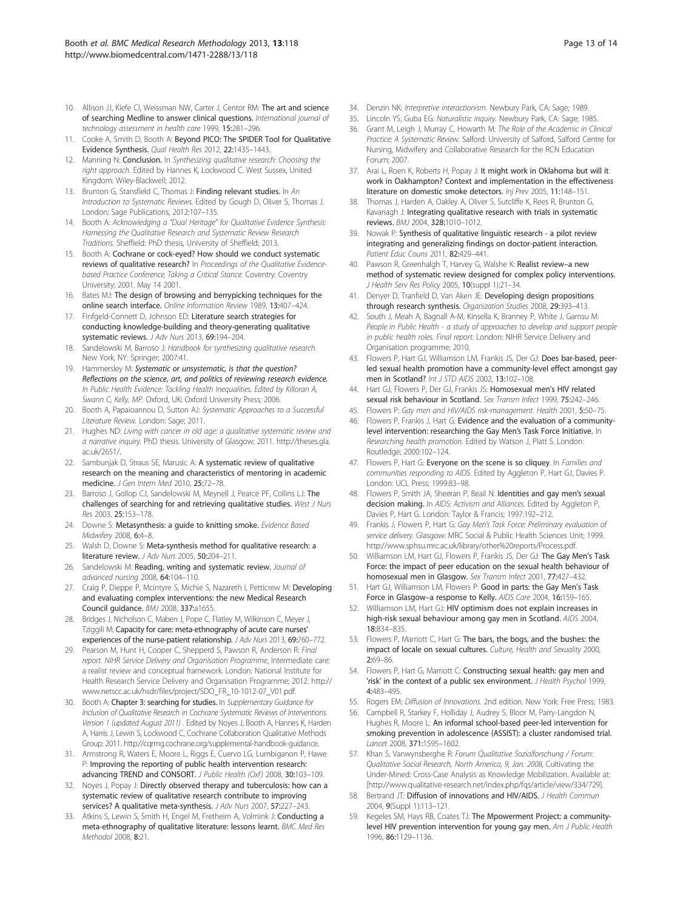- <span id="page-12-0"></span>10. Allison JJ, Kiefe CI, Weissman NW, Carter J, Centor RM: The art and science of searching Medline to answer clinical questions. International journal of technology assessment in health care 1999, 15:281–296.
- 11. Cooke A, Smith D, Booth A: Beyond PICO: The SPIDER Tool for Qualitative Evidence Synthesis. Qual Health Res 2012, 22:1435–1443.
- 12. Manning N: Conclusion. In Synthesizing qualitative research: Choosing the right approach. Edited by Hannes K, Lockwood C. West Sussex, United Kingdom: Wiley-Blackwell; 2012.
- 13. Brunton G, Stansfield C, Thomas J: Finding relevant studies. In An Introduction to Systematic Reviews. Edited by Gough D, Oliver S, Thomas J. London: Sage Publications; 2012:107–135.
- 14. Booth A: Acknowledging a "Dual Heritage" for Qualitative Evidence Synthesis: Harnessing the Qualitative Research and Systematic Review Research Traditions. Sheffield: PhD thesis, University of Sheffield; 2013.
- 15. Booth A: Cochrane or cock-eyed? How should we conduct systematic reviews of qualitative research? In Proceedings of the Qualitative Evidencebased Practice Conference, Taking a Critical Stance. Coventry: Coventry University; 2001. May 14 2001.
- 16. Bates MJ: The design of browsing and berrypicking techniques for the online search interface. Online Information Review 1989, 13:407–424.
- 17. Finfgeld-Connett D, Johnson ED: Literature search strategies for conducting knowledge-building and theory-generating qualitative systematic reviews. J Adv Nurs 2013, 69:194–204.
- 18. Sandelowski M, Barroso J: Handbook for synthesizing qualitative research. New York, NY: Springer; 2007:41.
- 19. Hammersley M: Systematic or unsystematic, is that the question? Reflections on the science, art, and politics of reviewing research evidence. In Public Health Evidence: Tackling Health Inequalities. Edited by Killoran A, Swann C, Kelly, MP. Oxford, UK: Oxford University Press; 2006.
- 20. Booth A, Papaioannou D, Sutton AJ: Systematic Approaches to a Successful Literature Review. London: Sage; 2011.
- 21. Hughes ND: Living with cancer in old age: a qualitative systematic review and a narrative inquiry. PhD thesis. University of Glasgow; 2011. [http://theses.gla.](http://theses.gla.ac.uk/2651/) [ac.uk/2651/](http://theses.gla.ac.uk/2651/).
- 22. Sambunjak D, Straus SE, Marusic A: A systematic review of qualitative research on the meaning and characteristics of mentoring in academic medicine. J Gen Intern Med 2010, 25:72–78.
- 23. Barroso J, Gollop CJ, Sandelowski M, Meynell J, Pearce PF, Collins LJ: The challenges of searching for and retrieving qualitative studies. West J Nurs Res 2003, 25:153–178.
- 24. Downe S: Metasynthesis: a quide to knitting smoke. Evidence Based Midwifery 2008, 6:4–8.
- 25. Walsh D, Downe S: Meta-synthesis method for qualitative research: a literature review. J Adv Nurs 2005, 50:204-211
- 26. Sandelowski M: Reading, writing and systematic review. Journal of advanced nursing 2008, 64:104–110.
- 27. Craig P, Dieppe P, Mcintyre S, Michie S, Nazareth I, Petticrew M: Developing and evaluating complex interventions: the new Medical Research Council guidance. BMJ 2008, 337:a1655.
- 28. Bridges J, Nicholson C, Maben J, Pope C, Flatley M, Wilkinson C, Meyer J, Tziggili M: Capacity for care: meta-ethnography of acute care nurses' experiences of the nurse-patient relationship. J Adv Nurs 2013, 69:760-772.
- 29. Pearson M, Hunt H, Cooper C, Shepperd S, Pawson R, Anderson R: Final report. NIHR Service Delivery and Organisation Programme, Intermediate care: a realist review and conceptual framework. London: National Institute for Health Research Service Delivery and Organisation Programme; 2012. [http://](http://www.netscc.ac.uk/hsdr/files/project/SDO_FR_10-1012-07_V01.pdf) [www.netscc.ac.uk/hsdr/files/project/SDO\\_FR\\_10-1012-07\\_V01.pdf](http://www.netscc.ac.uk/hsdr/files/project/SDO_FR_10-1012-07_V01.pdf).
- 30. Booth A: Chapter 3: searching for studies. In Supplementary Guidance for Inclusion of Qualitative Research in Cochrane Systematic Reviews of Interventions. Version 1 (updated August 2011) . Edited by Noyes J, Booth A, Hannes K, Harden A, Harris J, Lewin S, Lockwood C, Cochrane Collaboration Qualitative Methods Group; 2011.<http://cqrmg.cochrane.org/supplemental-handbook-guidance>.
- 31. Armstrong R, Waters E, Moore L, Riggs E, Cuervo LG, Lumbiganon P, Hawe P: Improving the reporting of public health intervention research: advancing TREND and CONSORT. J Public Health (Oxf) 2008, 30:103-109.
- 32. Noyes J, Popay J: Directly observed therapy and tuberculosis: how can a systematic review of qualitative research contribute to improving services? A qualitative meta-synthesis. J Adv Nurs 2007, 57:227-243.
- 33. Atkins S, Lewin S, Smith H, Engel M, Fretheim A, Volmink J: Conducting a meta-ethnography of qualitative literature: lessons learnt. BMC Med Res Methodol 2008, 8:21.
- 34. Denzin NK: Interpretive interactionism. Newbury Park, CA: Sage; 1989.
- 35. Lincoln YS, Guba EG: Naturalistic inquiry. Newbury Park, CA: Sage: 1985.
- 36. Grant M, Leigh J, Murray C, Howarth M: The Role of the Academic in Clinical Practice: A Systematic Review. Salford: University of Salford, Salford Centre for Nursing, Midwifery and Collaborative Research for the RCN Education Forum; 2007.
- 37. Arai L, Roen K, Roberts H, Popay J: It might work in Oklahoma but will it work in Oakhampton? Context and implementation in the effectiveness literature on domestic smoke detectors. Inj Prev 2005, 11:148–151.
- 38. Thomas J, Harden A, Oakley A, Oliver S, Sutcliffe K, Rees R, Brunton G, Kavanagh J: Integrating qualitative research with trials in systematic reviews. BMJ 2004, 328:1010–1012.
- 39. Nowak P: Synthesis of qualitative linguistic research a pilot review integrating and generalizing findings on doctor-patient interaction. Patient Educ Couns 2011, 82:429-441.
- 40. Pawson R, Greenhalgh T, Harvey G, Walshe K: Realist review-a new method of systematic review designed for complex policy interventions. J Health Serv Res Policy 2005, 10(suppl 1):21-34.
- 41. Denyer D, Tranfield D, Van Aken JE: Developing design propositions through research synthesis. Organization Studies 2008, 29:393–413.
- 42. South J, Meah A, Bagnall A-M, Kinsella K, Branney P, White J, Gamsu M: People in Public Health - a study of approaches to develop and support people in public health roles. Final report. London: NIHR Service Delivery and Organisation programme; 2010.
- 43. Flowers P, Hart GJ, Williamson LM, Frankis JS, Der GJ: Does bar-based, peerled sexual health promotion have a community-level effect amongst gay men in Scotland? Int J STD AIDS 2002, 13:102–108.
- 44. Hart GJ, Flowers P, Der GJ, Frankis JS: Homosexual men's HIV related sexual risk behaviour in Scotland. Sex Transm Infect 1999, 75:242-246.
- 45. Flowers P: Gay men and HIV/AIDS risk-management. Health 2001, 5:50–75. 46. Flowers P, Frankis J, Hart G: Evidence and the evaluation of a communitylevel intervention: researching the Gay Men's Task Force Initiative. In Researching health promotion. Edited by Watson J, Platt S. London: Routledge; 2000:102–124.
- 47. Flowers P, Hart G: Everyone on the scene is so cliquey. In Families and communities responding to AIDS. Edited by Aggleton P, Hart GJ, Davies P. London: UCL Press; 1999:83–98.
- 48. Flowers P, Smith JA, Sheeran P, Beail N: Identities and gay men's sexual decision making. In AIDS: Activism and Alliances. Edited by Aggleton P, Davies P, Hart G. London: Taylor & Francis; 1997:192–212.
- 49. Frankis J, Flowers P, Hart G: Gay Men's Task Force: Preliminary evaluation of service delivery. Glasgow: MRC Social & Public Health Sciences Unit; 1999. <http://www.sphsu.mrc.ac.uk/library/other%20reports/Process.pdf>.
- 50. Williamson LM, Hart GJ, Flowers P, Frankis JS, Der GJ: The Gay Men's Task Force: the impact of peer education on the sexual health behaviour of homosexual men in Glasgow. Sex Transm Infect 2001, 77:427–432.
- 51. Hart GJ, Williamson LM, Flowers P: Good in parts: the Gay Men's Task Force in Glasgow–a response to Kelly. AIDS Care 2004, 16:159–165.
- 52. Williamson LM, Hart GJ: HIV optimism does not explain increases in high-risk sexual behaviour among gay men in Scotland. AIDS 2004, 18:834–835.
- 53. Flowers P, Marriott C, Hart G: The bars, the bogs, and the bushes: the impact of locale on sexual cultures. Culture, Health and Sexuality 2000, 2:69–86.
- 54. Flowers P, Hart G, Marriott C: Constructing sexual health: gay men and 'risk' in the context of a public sex environment. J Health Psychol 1999, 4:483–495.
- 55. Rogers EM: Diffusion of Innovations. 2nd edition. New York: Free Press; 1983.
- 56. Campbell R, Starkey F, Holliday J, Audrey S, Bloor M, Parry-Langdon N, Hughes R, Moore L: An informal school-based peer-led intervention for smoking prevention in adolescence (ASSIST): a cluster randomised trial. Lancet 2008, 371:1595–1602.
- 57. Khan S, Vanwynsberghe R: Forum Qualitative Sozialforschung / Forum: Qualitative Social Research, North America, 9, Jan. 2008, Cultivating the Under-Mined: Cross-Case Analysis as Knowledge Mobilization. Available at: [[http://www.qualitative-research.net/index.php/fqs/article/view/334/729\]](http://www.qualitative-research.net/index.php/fqs/article/view/334/729).
- 58. Bertrand JT: Diffusion of innovations and HIV/AIDS. J Health Commun 2004, 9(Suppl 1):113–121.
- 59. Kegeles SM, Hays RB, Coates TJ: The Mpowerment Project: a communitylevel HIV prevention intervention for young gay men. Am J Public Health 1996, 86:1129–1136.